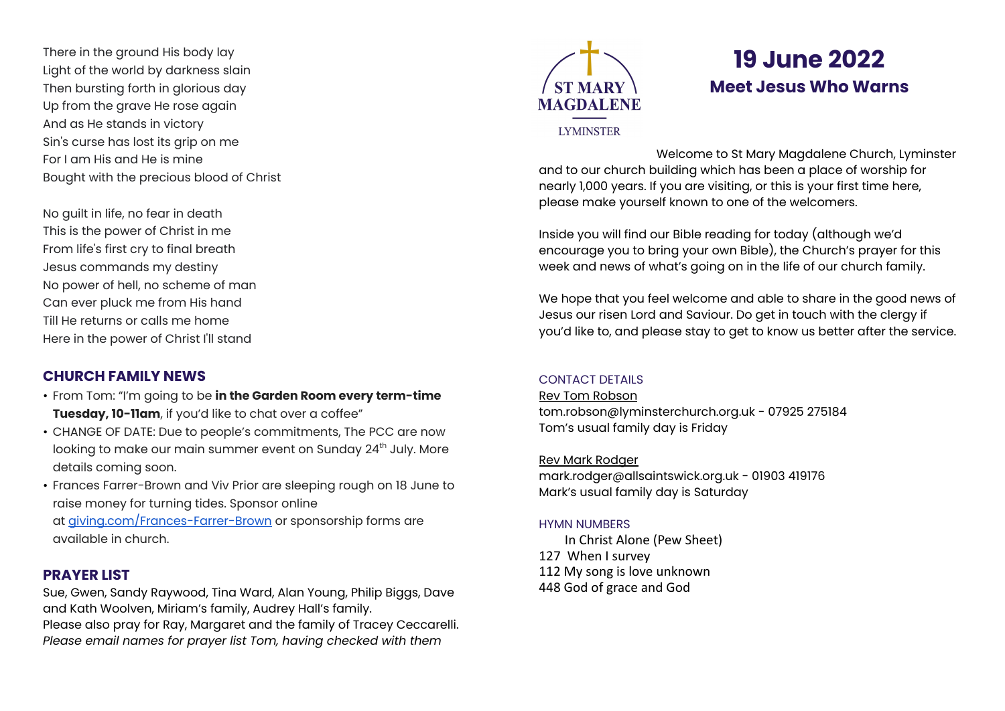There in the ground His body lay Light of the world by darkness slain Then bursting forth in glorious day Up from the grave He rose again And as He stands in victory Sin's curse has lost its grip on me For I am His and He is mine Bought with the precious blood of Christ

No guilt in life, no fear in death This is the power of Christ in me From life's first cry to final breath Jesus commands my destiny No power of hell, no scheme of man Can ever pluck me from His hand Till He returns or calls me home Here in the power of Christ I'll stand

# **CHURCH FAMILY NEWS**

- From Tom: "I'm going to be **in the Garden Room every term-time Tuesday, 10-11am**, if you'd like to chat over a coffee"
- CHANGE OF DATE: Due to people's commitments, The PCC are now looking to make our main summer event on Sunday 24<sup>th</sup> July. More details coming soon.
- Frances Farrer-Brown and Viv Prior are sleeping rough on 18 June to raise money for turning tides. Sponsor online at [giving.com/Frances-Farrer-Brown](http://giving.com/Frances-Farrer-Brown) or sponsorship forms are
- available in church.

# **PRAYER LIST**

Sue, Gwen, Sandy Raywood, Tina Ward, Alan Young, Philip Biggs, Dave and Kath Woolven, Miriam's family, Audrey Hall's family. Please also pray for Ray, Margaret and the family of Tracey Ceccarelli. *Please email names for prayer list Tom, having checked with them*



# **19 June 2022 Meet Jesus Who Warns**

## **LYMINSTER**

Welcome to St Mary Magdalene Church, Lyminster and to our church building which has been a place of worship for nearly 1,000 years. If you are visiting, or this is your first time here, please make yourself known to one of the welcomers.

Inside you will find our Bible reading for today (although we'd encourage you to bring your own Bible), the Church's prayer for this week and news of what's going on in the life of our church family.

We hope that you feel welcome and able to share in the good news of Jesus our risen Lord and Saviour. Do get in touch with the clergy if you'd like to, and please stay to get to know us better after the service.

## CONTACT DETAILS

Rev Tom Robson

[tom.robson@lyminsterchurch.org.uk](mailto:tom.robson@allsaintswick.org.uk) - 07925 275184 Tom's usual family day is Friday

Rev Mark Rodger [mark.rodger@allsaintswick.org.uk](mailto:mark.rodger@allsaintswick.org.uk) - 01903 419176 Mark's usual family day is Saturday

### HYMN NUMBERS

In Christ Alone (Pew Sheet) 127 When I survey 112 My song is love unknown 448 God of grace and God